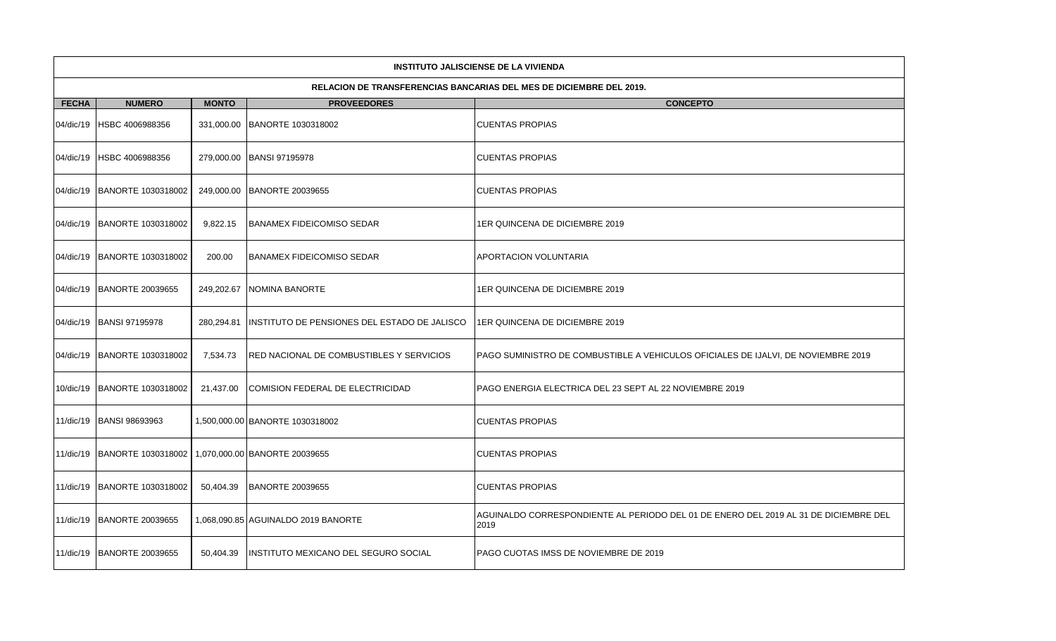|              | <b>INSTITUTO JALISCIENSE DE LA VIVIENDA</b>                         |              |                                              |                                                                                              |  |  |  |  |  |
|--------------|---------------------------------------------------------------------|--------------|----------------------------------------------|----------------------------------------------------------------------------------------------|--|--|--|--|--|
|              | RELACION DE TRANSFERENCIAS BANCARIAS DEL MES DE DICIEMBRE DEL 2019. |              |                                              |                                                                                              |  |  |  |  |  |
| <b>FECHA</b> | <b>NUMERO</b>                                                       | <b>MONTO</b> | <b>PROVEEDORES</b>                           | <b>CONCEPTO</b>                                                                              |  |  |  |  |  |
| 04/dic/19    | HSBC 4006988356                                                     | 331,000.00   | <b>BANORTE 1030318002</b>                    | <b>CUENTAS PROPIAS</b>                                                                       |  |  |  |  |  |
| 04/dic/19    | HSBC 4006988356                                                     | 279,000.00   | <b>BANSI 97195978</b>                        | <b>CUENTAS PROPIAS</b>                                                                       |  |  |  |  |  |
| 04/dic/19    | <b>BANORTE 1030318002</b>                                           | 249,000.00   | <b>BANORTE 20039655</b>                      | <b>CUENTAS PROPIAS</b>                                                                       |  |  |  |  |  |
| 04/dic/19    | BANORTE 1030318002                                                  | 9,822.15     | <b>BANAMEX FIDEICOMISO SEDAR</b>             | 1ER QUINCENA DE DICIEMBRE 2019                                                               |  |  |  |  |  |
| 04/dic/19    | <b>BANORTE 1030318002</b>                                           | 200.00       | BANAMEX FIDEICOMISO SEDAR                    | <b>APORTACION VOLUNTARIA</b>                                                                 |  |  |  |  |  |
| 04/dic/19    | <b>BANORTE 20039655</b>                                             | 249,202.67   | NOMINA BANORTE                               | 1ER QUINCENA DE DICIEMBRE 2019                                                               |  |  |  |  |  |
| 04/dic/19    | <b>BANSI 97195978</b>                                               | 280,294.81   | INSTITUTO DE PENSIONES DEL ESTADO DE JALISCO | 1ER QUINCENA DE DICIEMBRE 2019                                                               |  |  |  |  |  |
| 04/dic/19    | <b>BANORTE 1030318002</b>                                           | 7,534.73     | RED NACIONAL DE COMBUSTIBLES Y SERVICIOS     | PAGO SUMINISTRO DE COMBUSTIBLE A VEHICULOS OFICIALES DE IJALVI, DE NOVIEMBRE 2019            |  |  |  |  |  |
| 10/dic/19    | <b>BANORTE 1030318002</b>                                           | 21,437.00    | COMISION FEDERAL DE ELECTRICIDAD             | PAGO ENERGIA ELECTRICA DEL 23 SEPT AL 22 NOVIEMBRE 2019                                      |  |  |  |  |  |
| 11/dic/19    | <b>BANSI 98693963</b>                                               |              | 1,500,000.00 BANORTE 1030318002              | <b>CUENTAS PROPIAS</b>                                                                       |  |  |  |  |  |
| 11/dic/19    | BANORTE 1030318002                                                  |              | 1,070,000.00 BANORTE 20039655                | <b>CUENTAS PROPIAS</b>                                                                       |  |  |  |  |  |
| 11/dic/19    | BANORTE 1030318002                                                  | 50,404.39    | <b>BANORTE 20039655</b>                      | <b>CUENTAS PROPIAS</b>                                                                       |  |  |  |  |  |
| 11/dic/19    | <b>BANORTE 20039655</b>                                             |              | 1,068,090.85 AGUINALDO 2019 BANORTE          | AGUINALDO CORRESPONDIENTE AL PERIODO DEL 01 DE ENERO DEL 2019 AL 31 DE DICIEMBRE DEL<br>2019 |  |  |  |  |  |
| 11/dic/19    | <b>BANORTE 20039655</b>                                             | 50,404.39    | INSTITUTO MEXICANO DEL SEGURO SOCIAL         | PAGO CUOTAS IMSS DE NOVIEMBRE DE 2019                                                        |  |  |  |  |  |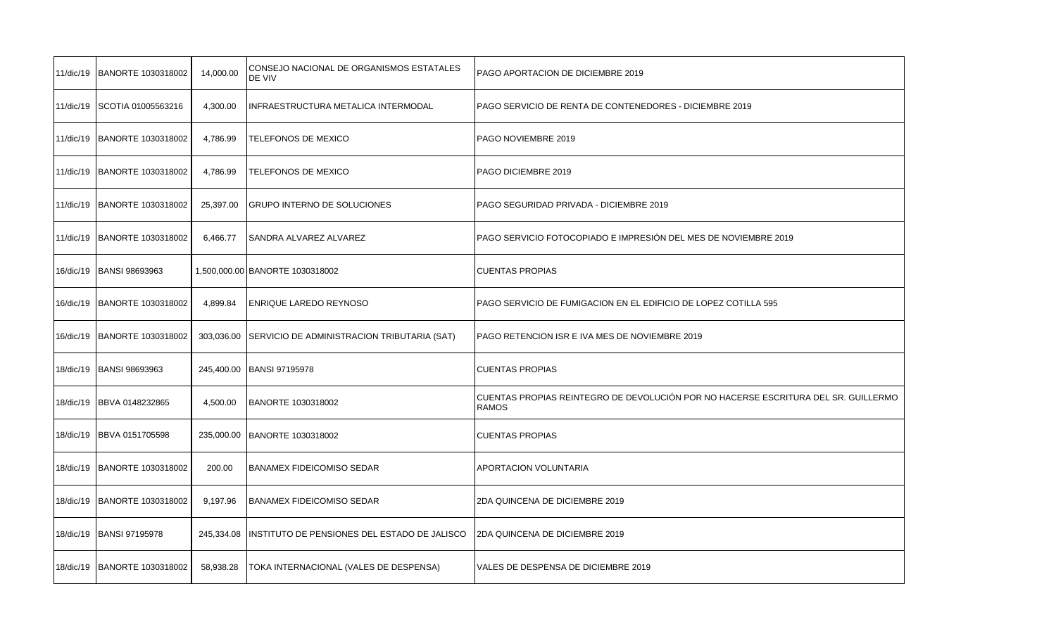| 11/dic/19 | BANORTE 1030318002             | 14,000.00  | CONSEJO NACIONAL DE ORGANISMOS ESTATALES<br>DE VIV | PAGO APORTACION DE DICIEMBRE 2019                                                                  |
|-----------|--------------------------------|------------|----------------------------------------------------|----------------------------------------------------------------------------------------------------|
|           | 11/dic/19 SCOTIA 01005563216   | 4,300.00   | INFRAESTRUCTURA METALICA INTERMODAL                | PAGO SERVICIO DE RENTA DE CONTENEDORES - DICIEMBRE 2019                                            |
|           | 11/dic/19   BANORTE 1030318002 | 4,786.99   | TELEFONOS DE MEXICO                                | PAGO NOVIEMBRE 2019                                                                                |
| 11/dic/19 | BANORTE 1030318002             | 4,786.99   | TELEFONOS DE MEXICO                                | PAGO DICIEMBRE 2019                                                                                |
|           | 11/dic/19   BANORTE 1030318002 | 25,397.00  | <b>GRUPO INTERNO DE SOLUCIONES</b>                 | PAGO SEGURIDAD PRIVADA - DICIEMBRE 2019                                                            |
| 11/dic/19 | BANORTE 1030318002             | 6,466.77   | SANDRA ALVAREZ ALVAREZ                             | PAGO SERVICIO FOTOCOPIADO E IMPRESIÓN DEL MES DE NOVIEMBRE 2019                                    |
| 16/dic/19 | <b>BANSI 98693963</b>          |            | 1,500,000.00 BANORTE 1030318002                    | <b>CUENTAS PROPIAS</b>                                                                             |
| 16/dic/19 | BANORTE 1030318002             | 4,899.84   | <b>ENRIQUE LAREDO REYNOSO</b>                      | PAGO SERVICIO DE FUMIGACION EN EL EDIFICIO DE LOPEZ COTILLA 595                                    |
| 16/dic/19 | BANORTE 1030318002             | 303,036.00 | SERVICIO DE ADMINISTRACION TRIBUTARIA (SAT)        | PAGO RETENCION ISR E IVA MES DE NOVIEMBRE 2019                                                     |
| 18/dic/19 | <b>BANSI 98693963</b>          | 245,400.00 | <b>BANSI 97195978</b>                              | <b>CUENTAS PROPIAS</b>                                                                             |
| 18/dic/19 | <b>BBVA 0148232865</b>         | 4,500.00   | <b>BANORTE 1030318002</b>                          | CUENTAS PROPIAS REINTEGRO DE DEVOLUCIÓN POR NO HACERSE ESCRITURA DEL SR. GUILLERMO<br><b>RAMOS</b> |
| 18/dic/19 | <b>BBVA 0151705598</b>         | 235,000.00 | BANORTE 1030318002                                 | <b>CUENTAS PROPIAS</b>                                                                             |
| 18/dic/19 | BANORTE 1030318002             | 200.00     | <b>BANAMEX FIDEICOMISO SEDAR</b>                   | <b>APORTACION VOLUNTARIA</b>                                                                       |
| 18/dic/19 | BANORTE 1030318002             | 9,197.96   | BANAMEX FIDEICOMISO SEDAR                          | 2DA QUINCENA DE DICIEMBRE 2019                                                                     |
| 18/dic/19 | <b>BANSI 97195978</b>          | 245,334.08 | INSTITUTO DE PENSIONES DEL ESTADO DE JALISCO       | 2DA QUINCENA DE DICIEMBRE 2019                                                                     |
|           | 18/dic/19 BANORTE 1030318002   | 58,938.28  | TOKA INTERNACIONAL (VALES DE DESPENSA)             | VALES DE DESPENSA DE DICIEMBRE 2019                                                                |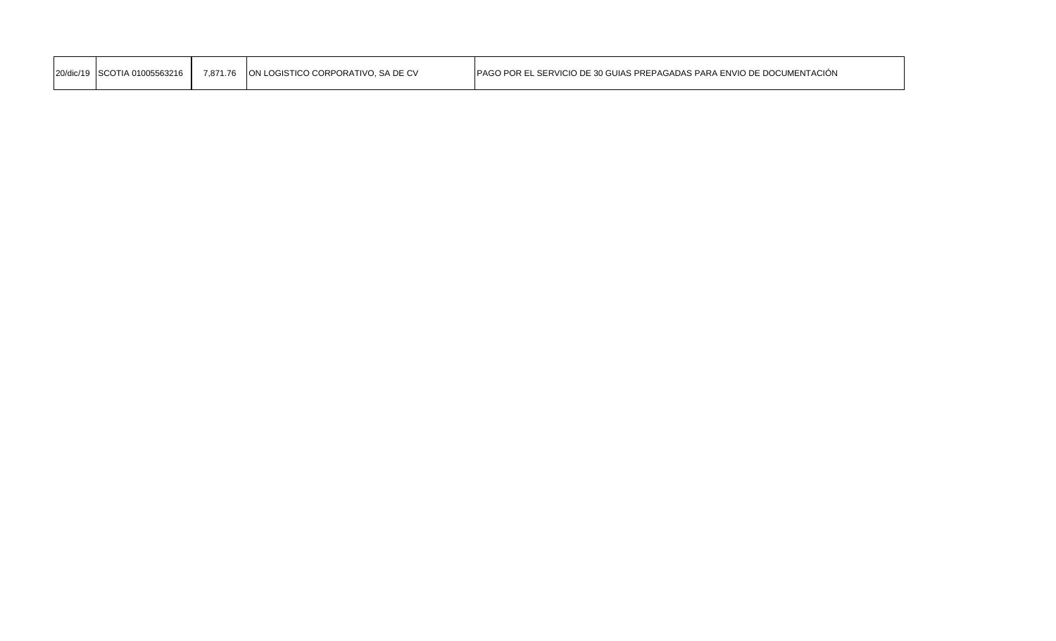| 20/dic/19 SCOTIA 01005563216 |  | <b>IPAGO POR EL SERVICIO DE 30 GUIAS PREPAGADAS PARA ENVIO DE DOCUMENTACIÓN</b> |
|------------------------------|--|---------------------------------------------------------------------------------|
|                              |  |                                                                                 |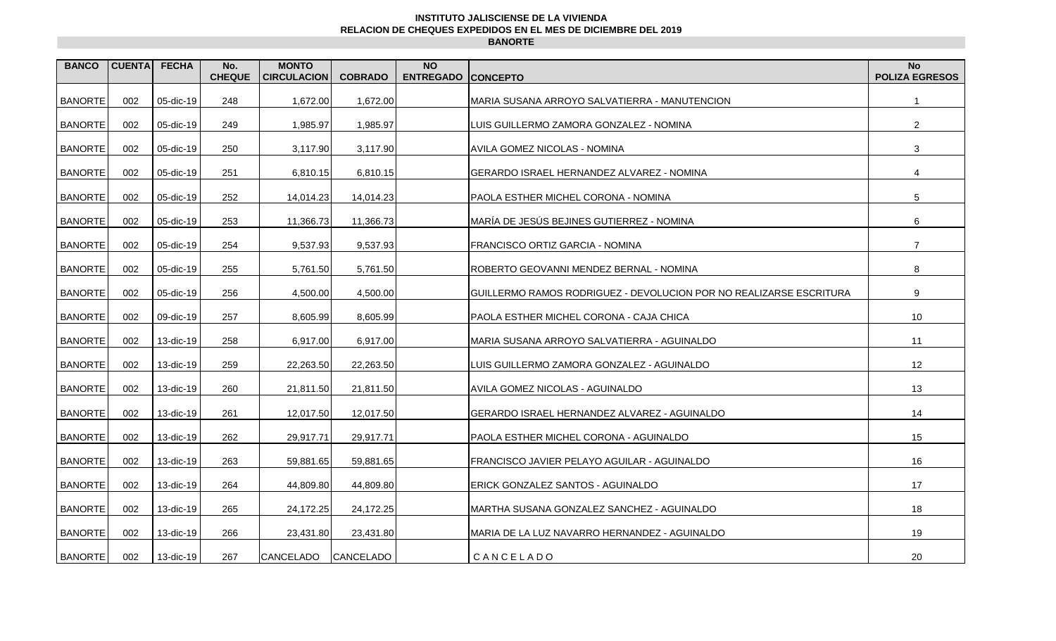## **INSTITUTO JALISCIENSE DE LA VIVIENDA RELACION DE CHEQUES EXPEDIDOS EN EL MES DE DICIEMBRE DEL 2019 BANORTE**

| <b>BANCO</b>   | <b>CUENTA</b> | <b>FECHA</b> | No.<br><b>CHEQUE</b> | <b>MONTO</b><br><b>CIRCULACION</b> | <b>COBRADO</b> | <b>NO</b><br><b>ENTREGADO CONCEPTO</b> |                                                                    | <b>No</b><br><b>POLIZA EGRESOS</b> |
|----------------|---------------|--------------|----------------------|------------------------------------|----------------|----------------------------------------|--------------------------------------------------------------------|------------------------------------|
| <b>BANORTE</b> | 002           | 05-dic-19    | 248                  | 1,672.00                           | 1,672.00       |                                        | MARIA SUSANA ARROYO SALVATIERRA - MANUTENCION                      | $\overline{1}$                     |
| <b>BANORTE</b> | 002           | 05-dic-19    | 249                  | 1,985.97                           | 1,985.97       |                                        | LUIS GUILLERMO ZAMORA GONZALEZ - NOMINA                            | $\overline{2}$                     |
| <b>BANORTE</b> | 002           | 05-dic-19    | 250                  | 3,117.90                           | 3,117.90       |                                        | AVILA GOMEZ NICOLAS - NOMINA                                       | 3                                  |
| <b>BANORTE</b> | 002           | 05-dic-19    | 251                  | 6,810.15                           | 6,810.15       |                                        | GERARDO ISRAEL HERNANDEZ ALVAREZ - NOMINA                          | $\overline{4}$                     |
| <b>BANORTE</b> | 002           | 05-dic-19    | 252                  | 14,014.23                          | 14,014.23      |                                        | PAOLA ESTHER MICHEL CORONA - NOMINA                                | 5                                  |
| <b>BANORTE</b> | 002           | 05-dic-19    | 253                  | 11,366.73                          | 11,366.73      |                                        | MARÍA DE JESÚS BEJINES GUTIERREZ - NOMINA                          | 6                                  |
| <b>BANORTE</b> | 002           | 05-dic-19    | 254                  | 9,537.93                           | 9,537.93       |                                        | FRANCISCO ORTIZ GARCIA - NOMINA                                    | $\overline{7}$                     |
| <b>BANORTE</b> | 002           | 05-dic-19    | 255                  | 5,761.50                           | 5,761.50       |                                        | ROBERTO GEOVANNI MENDEZ BERNAL - NOMINA                            | 8                                  |
| <b>BANORTE</b> | 002           | 05-dic-19    | 256                  | 4,500.00                           | 4,500.00       |                                        | GUILLERMO RAMOS RODRIGUEZ - DEVOLUCION POR NO REALIZARSE ESCRITURA | 9                                  |
| <b>BANORTE</b> | 002           | 09-dic-19    | 257                  | 8,605.99                           | 8,605.99       |                                        | PAOLA ESTHER MICHEL CORONA - CAJA CHICA                            | 10                                 |
| <b>BANORTE</b> | 002           | 13-dic-19    | 258                  | 6,917.00                           | 6,917.00       |                                        | MARIA SUSANA ARROYO SALVATIERRA - AGUINALDO                        | 11                                 |
| <b>BANORTE</b> | 002           | 13-dic-19    | 259                  | 22,263.50                          | 22,263.50      |                                        | LUIS GUILLERMO ZAMORA GONZALEZ - AGUINALDO                         | 12                                 |
| <b>BANORTE</b> | 002           | 13-dic-19    | 260                  | 21,811.50                          | 21,811.50      |                                        | AVILA GOMEZ NICOLAS - AGUINALDO                                    | 13                                 |
| <b>BANORTE</b> | 002           | 13-dic-19    | 261                  | 12,017.50                          | 12,017.50      |                                        | GERARDO ISRAEL HERNANDEZ ALVAREZ - AGUINALDO                       | 14                                 |
| <b>BANORTE</b> | 002           | 13-dic-19    | 262                  | 29,917.71                          | 29,917.71      |                                        | PAOLA ESTHER MICHEL CORONA - AGUINALDO                             | 15                                 |
| <b>BANORTE</b> | 002           | 13-dic-19    | 263                  | 59,881.65                          | 59,881.65      |                                        | FRANCISCO JAVIER PELAYO AGUILAR - AGUINALDO                        | 16                                 |
| <b>BANORTE</b> | 002           | 13-dic-19    | 264                  | 44,809.80                          | 44,809.80      |                                        | ERICK GONZALEZ SANTOS - AGUINALDO                                  | 17                                 |
| <b>BANORTE</b> | 002           | 13-dic-19    | 265                  | 24,172.25                          | 24,172.25      |                                        | MARTHA SUSANA GONZALEZ SANCHEZ - AGUINALDO                         | 18                                 |
| <b>BANORTE</b> | 002           | 13-dic-19    | 266                  | 23,431.80                          | 23,431.80      |                                        | MARIA DE LA LUZ NAVARRO HERNANDEZ - AGUINALDO                      | 19                                 |
| <b>BANORTE</b> | 002           | 13-dic-19    | 267                  | <b>CANCELADO</b>                   | CANCELADO      |                                        | CANCELADO                                                          | 20                                 |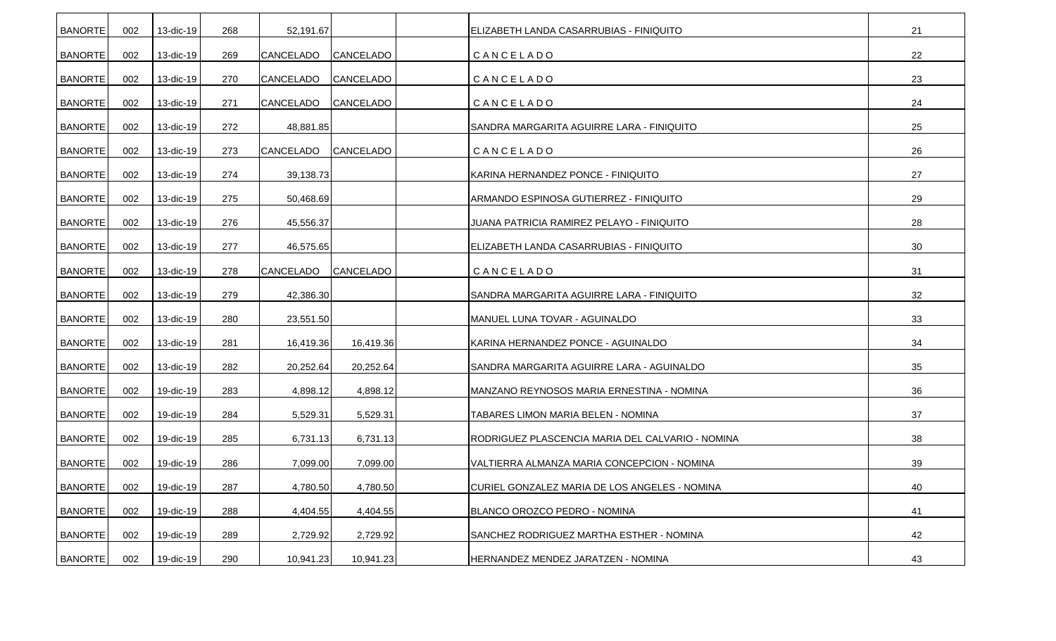| <b>BANORTE</b> | 002 | 13-dic-19 | 268 | 52,191.67        |                  | ELIZABETH LANDA CASARRUBIAS - FINIQUITO          | 21 |
|----------------|-----|-----------|-----|------------------|------------------|--------------------------------------------------|----|
| <b>BANORTE</b> | 002 | 13-dic-19 | 269 | <b>CANCELADO</b> | <b>CANCELADO</b> | CANCELADO                                        | 22 |
| <b>BANORTE</b> | 002 | 13-dic-19 | 270 | CANCELADO        | <b>CANCELADO</b> | CANCELADO                                        | 23 |
| <b>BANORTE</b> | 002 | 13-dic-19 | 271 | CANCELADO        | <b>CANCELADO</b> | CANCELADO                                        | 24 |
| <b>BANORTE</b> | 002 | 13-dic-19 | 272 | 48,881.85        |                  | ISANDRA MARGARITA AGUIRRE LARA - FINIQUITO       | 25 |
| <b>BANORTE</b> | 002 | 13-dic-19 | 273 | <b>CANCELADO</b> | CANCELADO        | CANCELADO                                        | 26 |
| <b>BANORTE</b> | 002 | 13-dic-19 | 274 | 39,138.73        |                  | KARINA HERNANDEZ PONCE - FINIQUITO               | 27 |
| <b>BANORTE</b> | 002 | 13-dic-19 | 275 | 50,468.69        |                  | ARMANDO ESPINOSA GUTIERREZ - FINIQUITO           | 29 |
| <b>BANORTE</b> | 002 | 13-dic-19 | 276 | 45,556.37        |                  | JUANA PATRICIA RAMIREZ PELAYO - FINIQUITO        | 28 |
| <b>BANORTE</b> | 002 | 13-dic-19 | 277 | 46,575.65        |                  | ELIZABETH LANDA CASARRUBIAS - FINIQUITO          | 30 |
| <b>BANORTE</b> | 002 | 13-dic-19 | 278 | <b>CANCELADO</b> | <b>CANCELADO</b> | <b>CANCELADO</b>                                 | 31 |
| <b>BANORTE</b> | 002 | 13-dic-19 | 279 | 42,386.30        |                  | SANDRA MARGARITA AGUIRRE LARA - FINIQUITO        | 32 |
| <b>BANORTE</b> | 002 | 13-dic-19 | 280 | 23,551.50        |                  | MANUEL LUNA TOVAR - AGUINALDO                    | 33 |
| <b>BANORTE</b> | 002 | 13-dic-19 | 281 | 16,419.36        | 16,419.36        | KARINA HERNANDEZ PONCE - AGUINALDO               | 34 |
| <b>BANORTE</b> | 002 | 13-dic-19 | 282 | 20,252.64        | 20,252.64        | SANDRA MARGARITA AGUIRRE LARA - AGUINALDO        | 35 |
| <b>BANORTE</b> | 002 | 19-dic-19 | 283 | 4,898.12         | 4,898.12         | MANZANO REYNOSOS MARIA ERNESTINA - NOMINA        | 36 |
| <b>BANORTE</b> | 002 | 19-dic-19 | 284 | 5,529.31         | 5,529.31         | TABARES LIMON MARIA BELEN - NOMINA               | 37 |
| <b>BANORTE</b> | 002 | 19-dic-19 | 285 | 6,731.13         | 6,731.13         | RODRIGUEZ PLASCENCIA MARIA DEL CALVARIO - NOMINA | 38 |
| <b>BANORTE</b> | 002 | 19-dic-19 | 286 | 7,099.00         | 7,099.00         | VALTIERRA ALMANZA MARIA CONCEPCION - NOMINA      | 39 |
| <b>BANORTE</b> | 002 | 19-dic-19 | 287 | 4,780.50         | 4,780.50         | CURIEL GONZALEZ MARIA DE LOS ANGELES - NOMINA    | 40 |
| <b>BANORTE</b> | 002 | 19-dic-19 | 288 | 4,404.55         | 4,404.55         | BLANCO OROZCO PEDRO - NOMINA                     | 41 |
| <b>BANORTE</b> | 002 | 19-dic-19 | 289 | 2,729.92         | 2,729.92         | SANCHEZ RODRIGUEZ MARTHA ESTHER - NOMINA         | 42 |
| <b>BANORTE</b> | 002 | 19-dic-19 | 290 | 10,941.23        | 10,941.23        | HERNANDEZ MENDEZ JARATZEN - NOMINA               | 43 |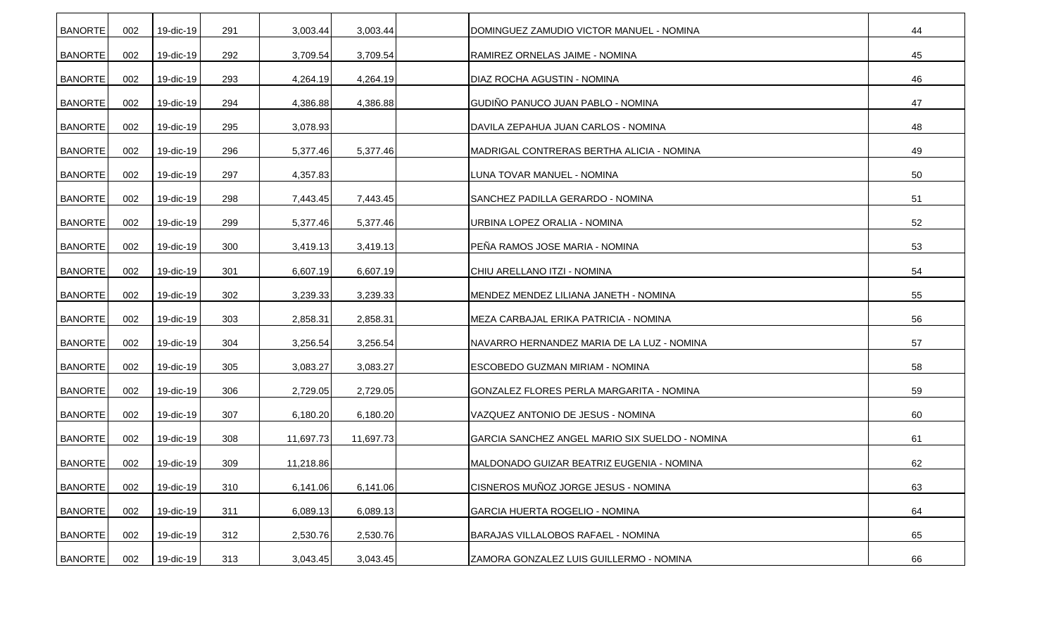| <b>BANORTE</b> | 002 | 19-dic-19 | 291 | 3,003.44  | 3,003.44  | DOMINGUEZ ZAMUDIO VICTOR MANUEL - NOMINA         | 44 |
|----------------|-----|-----------|-----|-----------|-----------|--------------------------------------------------|----|
| <b>BANORTE</b> | 002 | 19-dic-19 | 292 | 3,709.54  | 3,709.54  | RAMIREZ ORNELAS JAIME - NOMINA                   | 45 |
| <b>BANORTE</b> | 002 | 19-dic-19 | 293 | 4,264.19  | 4,264.19  | DIAZ ROCHA AGUSTIN - NOMINA                      | 46 |
| <b>BANORTE</b> | 002 | 19-dic-19 | 294 | 4,386.88  | 4,386.88  | GUDIÑO PANUCO JUAN PABLO - NOMINA                | 47 |
| <b>BANORTE</b> | 002 | 19-dic-19 | 295 | 3,078.93  |           | DAVILA ZEPAHUA JUAN CARLOS - NOMINA              | 48 |
| <b>BANORTE</b> | 002 | 19-dic-19 | 296 | 5,377.46  | 5,377.46  | <b>MADRIGAL CONTRERAS BERTHA ALICIA - NOMINA</b> | 49 |
| <b>BANORTE</b> | 002 | 19-dic-19 | 297 | 4,357.83  |           | LUNA TOVAR MANUEL - NOMINA                       | 50 |
| <b>BANORTE</b> | 002 | 19-dic-19 | 298 | 7,443.45  | 7,443.45  | SANCHEZ PADILLA GERARDO - NOMINA                 | 51 |
| <b>BANORTE</b> | 002 | 19-dic-19 | 299 | 5,377.46  | 5,377.46  | URBINA LOPEZ ORALIA - NOMINA                     | 52 |
| <b>BANORTE</b> | 002 | 19-dic-19 | 300 | 3,419.13  | 3,419.13  | PEÑA RAMOS JOSE MARIA - NOMINA                   | 53 |
| <b>BANORTE</b> | 002 | 19-dic-19 | 301 | 6,607.19  | 6,607.19  | CHIU ARELLANO ITZI - NOMINA                      | 54 |
| <b>BANORTE</b> | 002 | 19-dic-19 | 302 | 3,239.33  | 3,239.33  | MENDEZ MENDEZ LILIANA JANETH - NOMINA            | 55 |
| <b>BANORTE</b> | 002 | 19-dic-19 | 303 | 2,858.31  | 2,858.31  | MEZA CARBAJAL ERIKA PATRICIA - NOMINA            | 56 |
| <b>BANORTE</b> | 002 | 19-dic-19 | 304 | 3,256.54  | 3,256.54  | NAVARRO HERNANDEZ MARIA DE LA LUZ - NOMINA       | 57 |
| <b>BANORTE</b> | 002 | 19-dic-19 | 305 | 3,083.27  | 3,083.27  | ESCOBEDO GUZMAN MIRIAM - NOMINA                  | 58 |
| <b>BANORTE</b> | 002 | 19-dic-19 | 306 | 2,729.05  | 2,729.05  | GONZALEZ FLORES PERLA MARGARITA - NOMINA         | 59 |
| <b>BANORTE</b> | 002 | 19-dic-19 | 307 | 6,180.20  | 6,180.20  | VAZQUEZ ANTONIO DE JESUS - NOMINA                | 60 |
| <b>BANORTE</b> | 002 | 19-dic-19 | 308 | 11,697.73 | 11,697.73 | GARCIA SANCHEZ ANGEL MARIO SIX SUELDO - NOMINA   | 61 |
| <b>BANORTE</b> | 002 | 19-dic-19 | 309 | 11,218.86 |           | MALDONADO GUIZAR BEATRIZ EUGENIA - NOMINA        | 62 |
| <b>BANORTE</b> | 002 | 19-dic-19 | 310 | 6,141.06  | 6,141.06  | CISNEROS MUÑOZ JORGE JESUS - NOMINA              | 63 |
| <b>BANORTE</b> | 002 | 19-dic-19 | 311 | 6,089.13  | 6,089.13  | GARCIA HUERTA ROGELIO - NOMINA                   | 64 |
| <b>BANORTE</b> | 002 | 19-dic-19 | 312 | 2,530.76  | 2,530.76  | BARAJAS VILLALOBOS RAFAEL - NOMINA               | 65 |
| <b>BANORTE</b> | 002 | 19-dic-19 | 313 | 3,043.45  | 3,043.45  | ZAMORA GONZALEZ LUIS GUILLERMO - NOMINA          | 66 |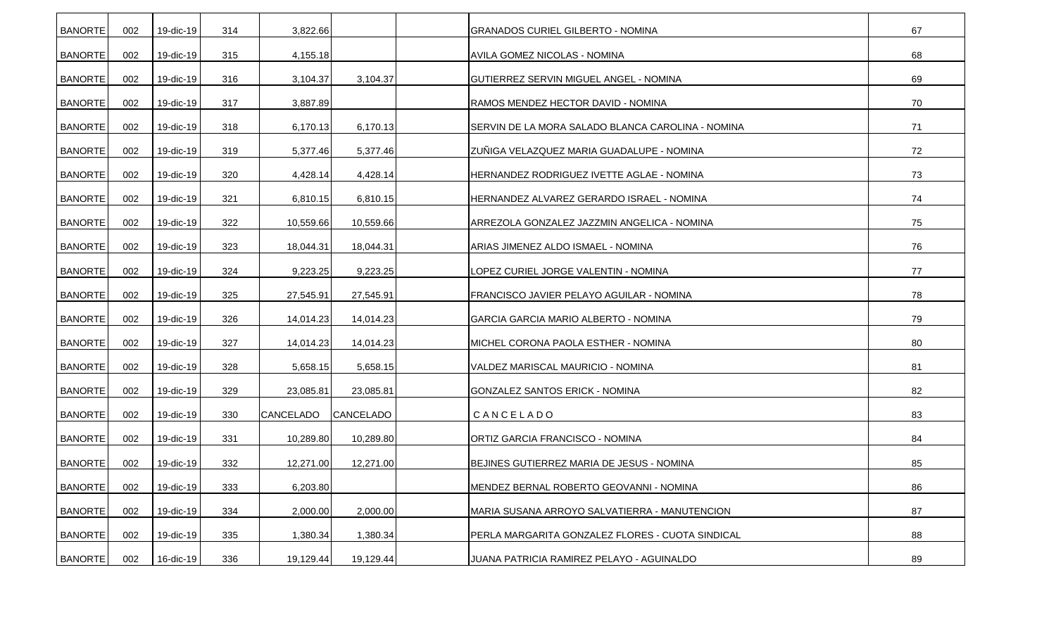| <b>BANORTE</b> | 002 | 19-dic-19 | 314 | 3,822.66         |                  | <b>GRANADOS CURIEL GILBERTO - NOMINA</b>          | 67 |
|----------------|-----|-----------|-----|------------------|------------------|---------------------------------------------------|----|
| <b>BANORTE</b> | 002 | 19-dic-19 | 315 | 4,155.18         |                  | AVILA GOMEZ NICOLAS - NOMINA                      | 68 |
| <b>BANORTE</b> | 002 | 19-dic-19 | 316 | 3,104.37         | 3,104.37         | <b>IGUTIERREZ SERVIN MIGUEL ANGEL - NOMINA</b>    | 69 |
| <b>BANORTE</b> | 002 | 19-dic-19 | 317 | 3,887.89         |                  | RAMOS MENDEZ HECTOR DAVID - NOMINA                | 70 |
| <b>BANORTE</b> | 002 | 19-dic-19 | 318 | 6,170.13         | 6,170.13         | SERVIN DE LA MORA SALADO BLANCA CAROLINA - NOMINA | 71 |
| <b>BANORTE</b> | 002 | 19-dic-19 | 319 | 5,377.46         | 5,377.46         | ZUÑIGA VELAZQUEZ MARIA GUADALUPE - NOMINA         | 72 |
| <b>BANORTE</b> | 002 | 19-dic-19 | 320 | 4,428.14         | 4,428.14         | HERNANDEZ RODRIGUEZ IVETTE AGLAE - NOMINA         | 73 |
| <b>BANORTE</b> | 002 | 19-dic-19 | 321 | 6,810.15         | 6,810.15         | HERNANDEZ ALVAREZ GERARDO ISRAEL - NOMINA         | 74 |
| <b>BANORTE</b> | 002 | 19-dic-19 | 322 | 10,559.66        | 10,559.66        | ARREZOLA GONZALEZ JAZZMIN ANGELICA - NOMINA       | 75 |
| <b>BANORTE</b> | 002 | 19-dic-19 | 323 | 18,044.31        | 18,044.31        | ARIAS JIMENEZ ALDO ISMAEL - NOMINA                | 76 |
| <b>BANORTE</b> | 002 | 19-dic-19 | 324 | 9,223.25         | 9,223.25         | LOPEZ CURIEL JORGE VALENTIN - NOMINA              | 77 |
| <b>BANORTE</b> | 002 | 19-dic-19 | 325 | 27,545.91        | 27,545.91        | FRANCISCO JAVIER PELAYO AGUILAR - NOMINA          | 78 |
| <b>BANORTE</b> | 002 | 19-dic-19 | 326 | 14,014.23        | 14,014.23        | GARCIA GARCIA MARIO ALBERTO - NOMINA              | 79 |
| <b>BANORTE</b> | 002 | 19-dic-19 | 327 | 14,014.23        | 14,014.23        | MICHEL CORONA PAOLA ESTHER - NOMINA               | 80 |
| <b>BANORTE</b> | 002 | 19-dic-19 | 328 | 5,658.15         | 5,658.15         | VALDEZ MARISCAL MAURICIO - NOMINA                 | 81 |
| <b>BANORTE</b> | 002 | 19-dic-19 | 329 | 23,085.81        | 23,085.81        | GONZALEZ SANTOS ERICK - NOMINA                    | 82 |
| <b>BANORTE</b> | 002 | 19-dic-19 | 330 | <b>CANCELADO</b> | <b>CANCELADO</b> | CANCELADO                                         | 83 |
| <b>BANORTE</b> | 002 | 19-dic-19 | 331 | 10,289.80        | 10,289.80        | IORTIZ GARCIA FRANCISCO - NOMINA                  | 84 |
| <b>BANORTE</b> | 002 | 19-dic-19 | 332 | 12,271.00        | 12,271.00        | BEJINES GUTIERREZ MARIA DE JESUS - NOMINA         | 85 |
| <b>BANORTE</b> | 002 | 19-dic-19 | 333 | 6,203.80         |                  | MENDEZ BERNAL ROBERTO GEOVANNI - NOMINA           | 86 |
| <b>BANORTE</b> | 002 | 19-dic-19 | 334 | 2,000.00         | 2,000.00         | MARIA SUSANA ARROYO SALVATIERRA - MANUTENCION     | 87 |
| <b>BANORTE</b> | 002 | 19-dic-19 | 335 | 1,380.34         | 1,380.34         | PERLA MARGARITA GONZALEZ FLORES - CUOTA SINDICAL  | 88 |
| <b>BANORTE</b> | 002 | 16-dic-19 | 336 | 19,129.44        | 19,129.44        | JUANA PATRICIA RAMIREZ PELAYO - AGUINALDO         | 89 |